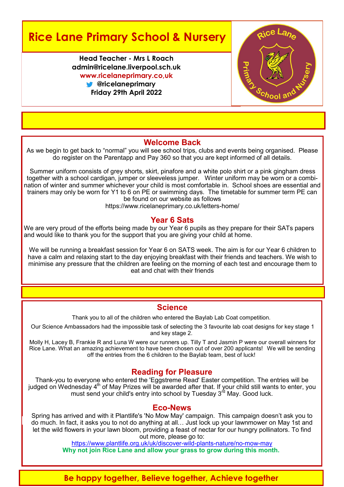# **Rice Lane Primary School & Nursery**

**Head Teacher - Mrs L Roach admin@ricelane.liverpool.sch.uk www.ricelaneprimary.co,uk @ricelaneprimary Friday 29th April 2022**



#### **Welcome Back**

As we begin to get back to "normal" you will see school trips, clubs and events being organised. Please do register on the Parentapp and Pay 360 so that you are kept informed of all details.

Summer uniform consists of grey shorts, skirt, pinafore and a white polo shirt or a pink gingham dress together with a school cardigan, jumper or sleeveless jumper. Winter uniform may be worn or a combination of winter and summer whichever your child is most comfortable in. School shoes are essential and trainers may only be worn for Y1 to 6 on PE or swimming days. The timetable for summer term PE can be found on our website as follows

https://www.ricelaneprimary.co.uk/letters-home/

#### **Year 6 Sats**

We are very proud of the efforts being made by our Year 6 pupils as they prepare for their SATs papers and would like to thank you for the support that you are giving your child at home.

We will be running a breakfast session for Year 6 on SATS week. The aim is for our Year 6 children to have a calm and relaxing start to the day enjoying breakfast with their friends and teachers. We wish to minimise any pressure that the children are feeling on the morning of each test and encourage them to eat and chat with their friends

#### **Science**

Thank you to all of the children who entered the Baylab Lab Coat competition.

Our Science Ambassadors had the impossible task of selecting the 3 favourite lab coat designs for key stage 1 and key stage 2.

Molly H, Lacey B, Frankie R and Luna W were our runners up. Tilly T and Jasmin P were our overall winners for Rice Lane. What an amazing achievement to have been chosen out of over 200 applicants! We will be sending off the entries from the 6 children to the Baylab team, best of luck!

#### **Reading for Pleasure**

Thank-you to everyone who entered the 'Eggstreme Read' Easter competition. The entries will be judged on Wednesday 4<sup>th</sup> of May Prizes will be awarded after that. If your child still wants to enter, you must send your child's entry into school by Tuesday 3<sup>rd</sup> May. Good luck.

#### **Eco-News**

Spring has arrived and with it Plantlife's 'No Mow May' campaign. This campaign doesn't ask you to do much. In fact, it asks you to not do anything at all… Just lock up your lawnmower on May 1st and let the wild flowers in your lawn bloom, providing a feast of nectar for our hungry pollinators. To find out more, please go to:

[https://www.plantlife.org.uk/uk/discover](https://www.plantlife.org.uk/uk/discover-wild-plants-nature/no-mow-may)-wild-plants-nature/no-mow-may **Why not join Rice Lane and allow your grass to grow during this month.**

# **Be happy together, Believe together, Achieve together**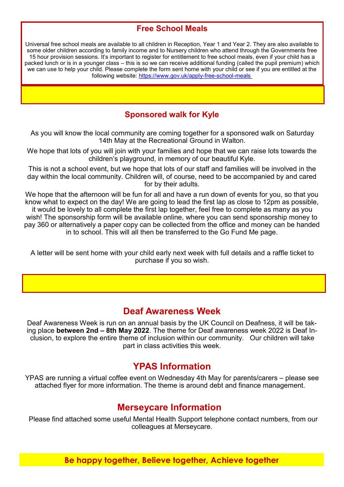## **Free School Meals**

Universal free school meals are available to all children in Reception, Year 1 and Year 2. They are also available to some older children according to family income and to Nursery children who attend through the Governments free 15 hour provision sessions. It's important to register for entitlement to free school meals, even if your child has a packed lunch or is in a younger class – this is so we can receive additional funding (called the pupil premium) which we can use to help your child. Please complete the form sent home with your child or see if you are entitled at the following website: [https://www.gov.uk/apply](https://www.gov.uk/apply-free-school-meals)-free-school-meals

## **Sponsored walk for Kyle**

As you will know the local community are coming together for a sponsored walk on Saturday 14th May at the Recreational Ground in Walton.

We hope that lots of you will join with your families and hope that we can raise lots towards the children's playground, in memory of our beautiful Kyle.

This is not a school event, but we hope that lots of our staff and families will be involved in the day within the local community. Children will, of course, need to be accompanied by and cared for by their adults.

We hope that the afternoon will be fun for all and have a run down of events for you, so that you know what to expect on the day! We are going to lead the first lap as close to 12pm as possible, it would be lovely to all complete the first lap together, feel free to complete as many as you wish! The sponsorship form will be available online, where you can send sponsorship money to pay 360 or alternatively a paper copy can be collected from the office and money can be handed in to school. This will all then be transferred to the Go Fund Me page.

A letter will be sent home with your child early next week with full details and a raffle ticket to purchase if you so wish.

# **Deaf Awareness Week**

Deaf Awareness Week is run on an annual basis by the UK Council on Deafness, it will be taking place **between 2nd – 8th May 2022**. The theme for Deaf awareness week 2022 is Deaf Inclusion, to explore the entire theme of inclusion within our community. Our children will take part in class activities this week.

# **YPAS Information**

YPAS are running a virtual coffee event on Wednesday 4th May for parents/carers – please see attached flyer for more information. The theme is around debt and finance management.

# **Merseycare Information**

Please find attached some useful Mental Health Support telephone contact numbers, from our colleagues at Merseycare.

**Be happy together, Believe together, Achieve together**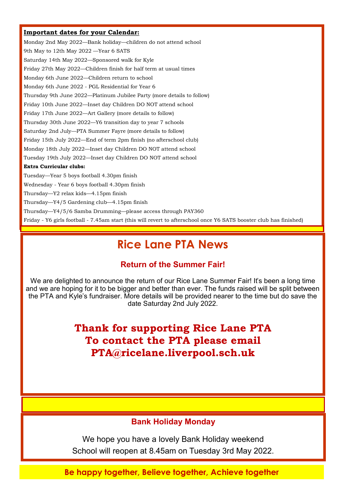#### **Important dates for your Calendar:**

Monday 2nd May 2022—Bank holiday—children do not attend school 9th May to 12th May 2022 —Year 6 SATS Saturday 14th May 2022—Sponsored walk for Kyle Friday 27th May 2022—Children finish for half term at usual times Monday 6th June 2022—Children return to school Monday 6th June 2022 - PGL Residential for Year 6 Thursday 9th June 2022—Platinum Jubilee Party (more details to follow) Friday 10th June 2022—Inset day Children DO NOT attend school Friday 17th June 2022—Art Gallery (more details to follow) Thursday 30th June 2022—Y6 transition day to year 7 schools Saturday 2nd July—PTA Summer Fayre (more details to follow) Friday 15th July 2022—End of term 2pm finish (no afterschool club) Monday 18th July 2022—Inset day Children DO NOT attend school Tuesday 19th July 2022—Inset day Children DO NOT attend school **Extra Curricular clubs:** Tuesday—Year 5 boys football 4.30pm finish Wednesday - Year 6 boys football 4.30pm finish Thursday—Y2 relax kids—4.15pm finish Thursday—Y4/5 Gardening club—4.15pm finish Thursday—Y4/5/6 Samba Drumming—please access through PAY360

Friday - Y6 girls football - 7.45am start (this will revert to afterschool once Y6 SATS booster club has finished)

# **Rice Lane PTA News**

#### **Return of the Summer Fair!**

We are delighted to announce the return of our Rice Lane Summer Fair! It's been a long time and we are hoping for it to be bigger and better than ever. The funds raised will be split between the PTA and Kyle's fundraiser. More details will be provided nearer to the time but do save the date Saturday 2nd July 2022.

> **Thank for supporting Rice Lane PTA To contact the PTA please email PTA@ricelane.liverpool.sch.uk**

### **Bank Holiday Monday**

We hope you have a lovely Bank Holiday weekend School will reopen at 8.45am on Tuesday 3rd May 2022.

**Be happy together, Believe together, Achieve together**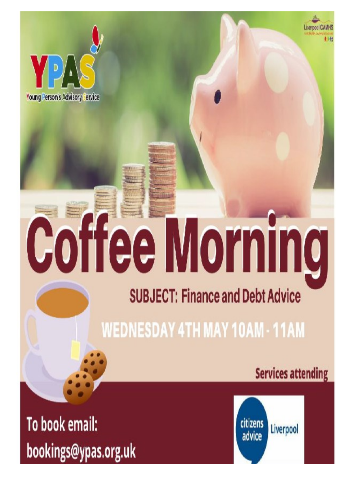

# **Coffee Morning**

# **SUBJECT: Finance and Debt Advice**

**WEDNESDAY 4TH MAY 10AM - 11AM** 

**Services attending** 

Liverpool CAN

To book email: bookings@ypas.org.uk